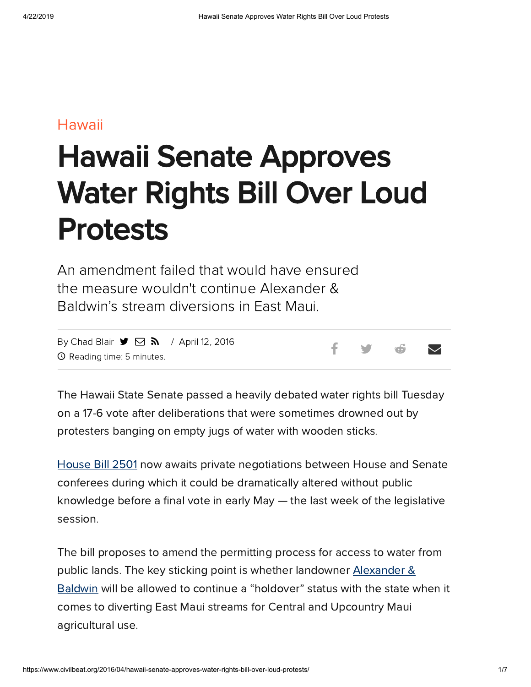#### [Hawaii](https://www.civilbeat.org/category/hawaii-beat/)

# Hawaii Senate Approves Water Rights Bill Over Loud Protests

An amendment failed that would have ensured the measure wouldn't continue Alexander & Baldwin's stream diversions in East Maui.

By [Chad](https://www.civilbeat.org/author/cblair/) Blair  $\blacktriangleright$   $\Box$   $\blacktriangleright$  / April 12, 2016 Reading time: 5 minutes.

f y o v

The Hawaii State Senate passed a heavily debated water rights bill Tuesday on a 17-6 vote after deliberations that were sometimes drowned out by protesters banging on empty jugs of water with wooden sticks.

[House](http://capitol.hawaii.gov/measure_indiv.aspx?billtype=HB&billnumber=2501&year=2016) Bill 2501 now awaits private negotiations between House and Senate conferees during which it could be dramatically altered without public knowledge before a final vote in early May  $-$  the last week of the legislative session.

The bill proposes to amend the permitting process for access to water from public lands. The key sticking point is whether landowner Alexander & Baldwin will be allowed to continue a ["holdover"](http://alexanderbaldwin.com/) status with the state when it comes to diverting East Maui streams for Central and Upcountry Maui agricultural use.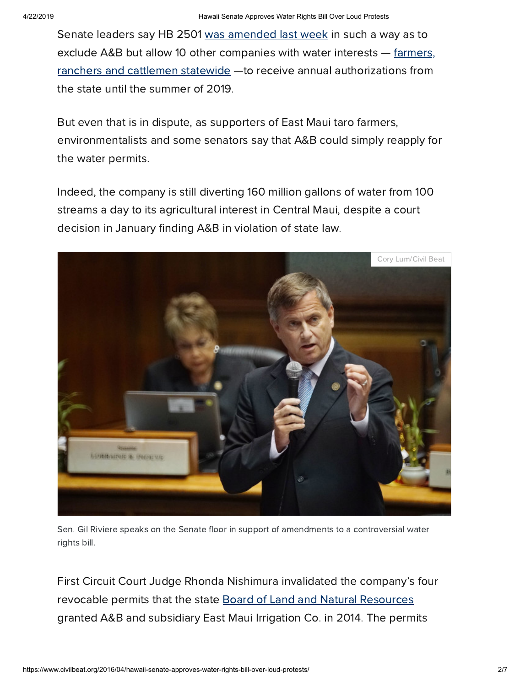Senate leaders say HB 2501 was [amended](https://www.civilbeat.org/2016/04/mauis-ancient-water-rights-debate-headed-for-capitol-showdown/) last week in such a way as to exclude A&B but allow 10 other companies with water interests – farmers, ranchers and [cattlemen statewide](https://www.civilbeat.org/2016/04/water-rights-bill-awaits-senate-vote/) —to receive annual authorizations from the state until the summer of 2019.

But even that is in dispute, as supporters of East Maui taro farmers, environmentalists and some senators say that A&B could simply reapply for the water permits.

Indeed, the company is still diverting 160 million gallons of water from 100 streams a day to its agricultural interest in Central Maui, despite a court decision in January finding A&B in violation of state law.



Sen. Gil Riviere speaks on the Senate floor in support of amendments to a controversial water rights bill.

First Circuit Court Judge Rhonda Nishimura invalidated the company's four revocable permits that the state Board of Land and Natural [Resources](http://dlnr.hawaii.gov/boards-commissions/blnr/) granted A&B and subsidiary East Maui Irrigation Co. in 2014. The permits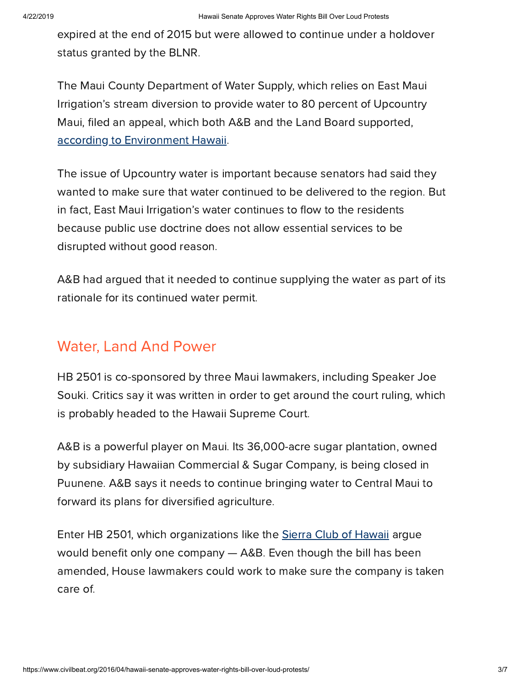expired at the end of 2015 but were allowed to continue under a holdover status granted by the BLNR.

The Maui County Department of Water Supply, which relies on East Maui Irrigation's stream diversion to provide water to 80 percent of Upcountry Maui, filed an appeal, which both A&B and the Land Board supported, according to [Environment](http://www.environment-hawaii.org/?p=8728) Hawaii.

The issue of Upcountry water is important because senators had said they wanted to make sure that water continued to be delivered to the region. But in fact, East Maui Irrigation's water continues to flow to the residents because public use doctrine does not allow essential services to be disrupted without good reason.

A&B had argued that it needed to continue supplying the water as part of its rationale for its continued water permit.

# Water, Land And Power

HB 2501 is co-sponsored by three Maui lawmakers, including Speaker Joe Souki. Critics say it was written in order to get around the court ruling, which is probably headed to the Hawaii Supreme Court.

A&B is a powerful player on Maui. Its 36,000-acre sugar plantation, owned by subsidiary Hawaiian Commercial & Sugar Company, is being closed in Puunene. A&B says it needs to continue bringing water to Central Maui to forward its plans for diversified agriculture.

Enter HB 2501, which organizations like the Sierra Club of [Hawaii](http://sierraclubhawaii.org/) argue would benefit only one company  $-$  A&B. Even though the bill has been amended, House lawmakers could work to make sure the company is taken care of.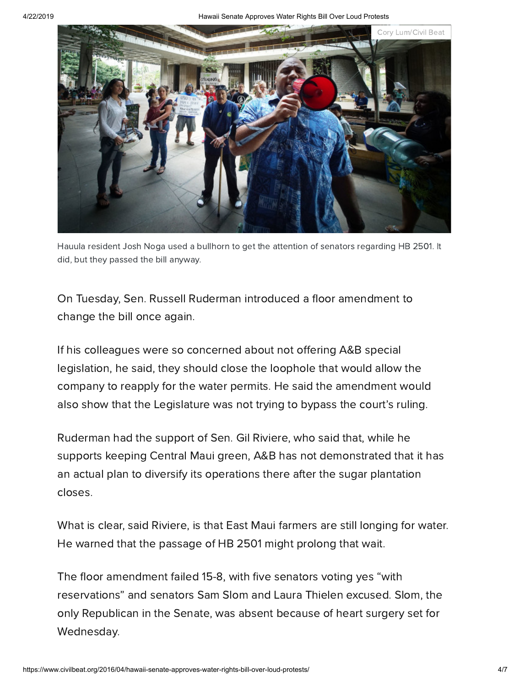4/22/2019 Hawaii Senate Approves Water Rights Bill Over Loud Protests



Hauula resident Josh Noga used a bullhorn to get the attention of senators regarding HB 2501. It did, but they passed the bill anyway.

On Tuesday, Sen. Russell Ruderman introduced a floor amendment to change the bill once again.

If his colleagues were so concerned about not offering A&B special legislation, he said, they should close the loophole that would allow the company to reapply for the water permits. He said the amendment would also show that the Legislature was not trying to bypass the court's ruling.

Ruderman had the support of Sen. Gil Riviere, who said that, while he supports keeping Central Maui green, A&B has not demonstrated that it has an actual plan to diversify its operations there after the sugar plantation closes.

What is clear, said Riviere, is that East Maui farmers are still longing for water. He warned that the passage of HB 2501 might prolong that wait.

The floor amendment failed 15-8, with five senators voting yes "with reservations" and senators Sam Slom and Laura Thielen excused. Slom, the only Republican in the Senate, was absent because of heart surgery set for Wednesday.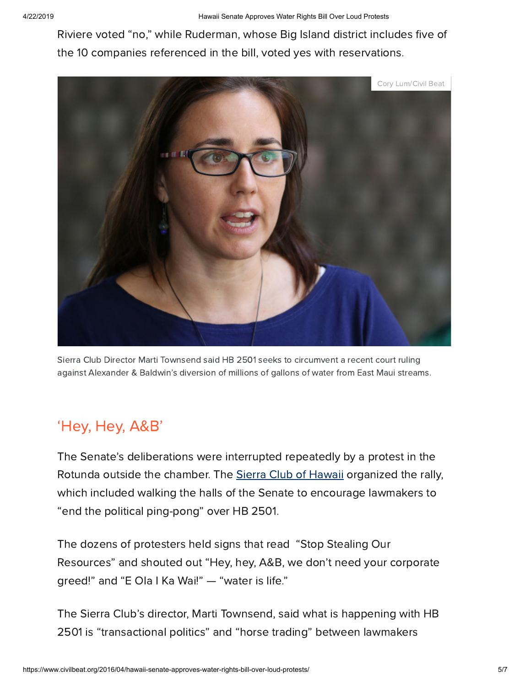Riviere voted "no," while Ruderman, whose Big Island district includes five of the 10 companies referenced in the bill, voted yes with reservations.



Sierra Club Director Marti Townsend said HB 2501 seeks to circumvent a recent court ruling against Alexander & Baldwin's diversion of millions of gallons of water from East Maui streams.

# 'Hey, Hey, A&B'

The Senate's deliberations were interrupted repeatedly by a protest in the Rotunda outside the chamber. The Sierra Club of [Hawaii](http://sierraclubhawaii.org/) organized the rally, which included walking the halls of the Senate to encourage lawmakers to "end the political ping-pong" over HB 2501.

The dozens of protesters held signs that read "Stop Stealing Our Resources" and shouted out "Hey, hey, A&B, we don't need your corporate greed!" and "E Ola I Ka Wai!" — "water is life."

The Sierra Club's director, Marti Townsend, said what is happening with HB 2501 is "transactional politics" and "horse trading" between lawmakers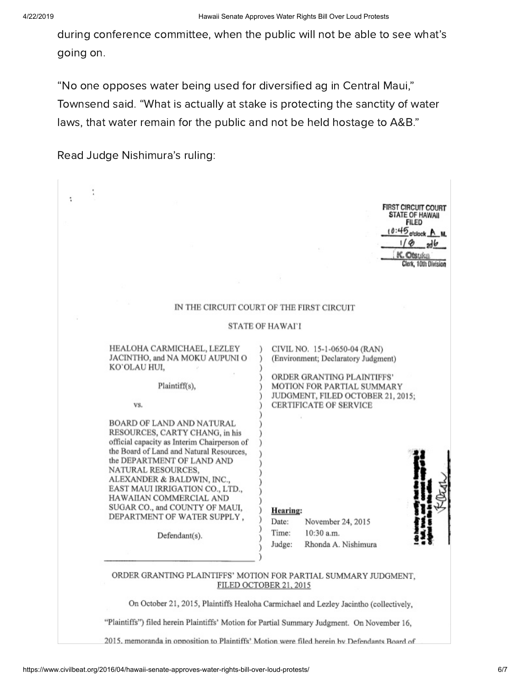during conference committee, when the public will not be able to see what's going on.

"No one opposes water being used for diversified ag in Central Maui," Townsend said. "What is actually at stake is protecting the sanctity of water laws, that water remain for the public and not be held hostage to A&B."

Read Judge Nishimura's ruling:

|  |                                                                                                                                                                                                                                                                                                                                                                                          | <b>FIRST CIRCUIT COURT</b><br><b>STATE OF HAWAII</b><br><b>FILED</b><br>$10:45$ o'clock $A$ M.<br>$1/\phi$<br>$=$ ad $\mathfrak{b}$<br>K. Otsuka<br>Clerk, 10th Division                              |  |
|--|------------------------------------------------------------------------------------------------------------------------------------------------------------------------------------------------------------------------------------------------------------------------------------------------------------------------------------------------------------------------------------------|-------------------------------------------------------------------------------------------------------------------------------------------------------------------------------------------------------|--|
|  |                                                                                                                                                                                                                                                                                                                                                                                          |                                                                                                                                                                                                       |  |
|  | IN THE CIRCUIT COURT OF THE FIRST CIRCUIT                                                                                                                                                                                                                                                                                                                                                |                                                                                                                                                                                                       |  |
|  | <b>STATE OF HAWAI'I</b>                                                                                                                                                                                                                                                                                                                                                                  |                                                                                                                                                                                                       |  |
|  | HEALOHA CARMICHAEL, LEZLEY<br>JACINTHO, and NA MOKU AUPUNI O<br>KO'OLAU HUI,<br>Plaintiff(s),<br>VS.                                                                                                                                                                                                                                                                                     | CIVIL NO. 15-1-0650-04 (RAN)<br>(Environment; Declaratory Judgment)<br>ORDER GRANTING PLAINTIFFS'<br>MOTION FOR PARTIAL SUMMARY<br>JUDGMENT, FILED OCTOBER 21, 2015;<br><b>CERTIFICATE OF SERVICE</b> |  |
|  | BOARD OF LAND AND NATURAL<br>RESOURCES, CARTY CHANG, in his<br>official capacity as Interim Chairperson of<br>the Board of Land and Natural Resources,<br>the DEPARTMENT OF LAND AND<br>NATURAL RESOURCES,<br>ALEXANDER & BALDWIN, INC.,<br>EAST MAUI IRRIGATION CO., LTD.,<br>HAWAIIAN COMMERCIAL AND<br>SUGAR CO., and COUNTY OF MAUI,<br>DEPARTMENT OF WATER SUPPLY,<br>Defendant(s). | <b>Hearing:</b><br>Date:<br>November 24, 2015<br>Time:<br>$10:30$ a.m.<br>Judge:<br>Rhonda A. Nishimura                                                                                               |  |
|  | ORDER GRANTING PLAINTIFFS' MOTION FOR PARTIAL SUMMARY JUDGMENT.<br>FILED OCTOBER 21, 2015                                                                                                                                                                                                                                                                                                |                                                                                                                                                                                                       |  |
|  | On October 21, 2015, Plaintiffs Healoha Carmichael and Lezley Jacintho (collectively,                                                                                                                                                                                                                                                                                                    |                                                                                                                                                                                                       |  |
|  | "Plaintiffs") filed herein Plaintiffs' Motion for Partial Summary Judgment. On November 16,                                                                                                                                                                                                                                                                                              |                                                                                                                                                                                                       |  |
|  | 2015, memoranda in opposition to Plaintiffs' Motion were filed berein by Defendants Board of                                                                                                                                                                                                                                                                                             |                                                                                                                                                                                                       |  |